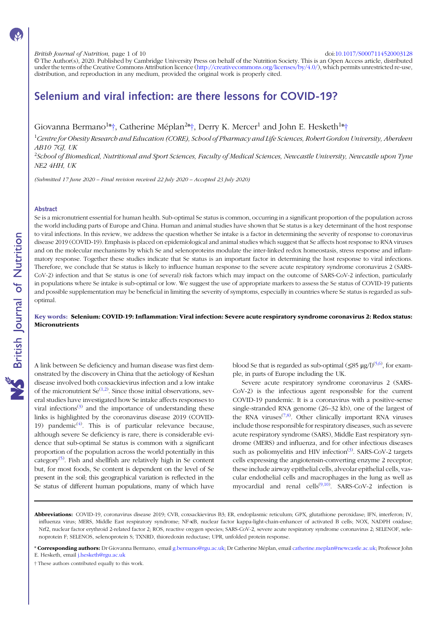### British Journal of Nutrition, page 1 of 10 doi:[10.1017/S0007114520003128](https://doi.org/10.1017/S0007114520003128)

© The Author(s), 2020. Published by Cambridge University Press on behalf of the Nutrition Society. This is an Open Access article, distributed under the terms of the Creative Commons Attribution licence [\(http://creativecommons.org/licenses/by/4.0/](http://creativecommons.org/licenses/by/4.0/)), which permits unrestricted re-use, distribution, and reproduction in any medium, provided the original work is properly cited.

# Selenium and viral infection: are there lessons for COVID-19?

Giovanna Bermano<sup>1</sup>\*†, Catherine Méplan<sup>2</sup>\*†, Derry K. Mercer<sup>1</sup> and John E. Hesketh<sup>1</sup>\*†

<sup>1</sup>Centre for Obesity Research and Education (CORE), School of Pharmacy and Life Sciences, Robert Gordon University, Aberdeen AB10 7GJ, UK

<sup>2</sup>School of Biomedical, Nutritional and Sport Sciences, Faculty of Medical Sciences, Newcastle University, Newcastle upon Tyne NE2 4HH, UK

(Submitted 17 June 2020 – Final revision received 22 July 2020 – Accepted 23 July 2020)

### Abstract

Se is a micronutrient essential for human health. Sub-optimal Se status is common, occurring in a significant proportion of the population across the world including parts of Europe and China. Human and animal studies have shown that Se status is a key determinant of the host response to viral infections. In this review, we address the question whether Se intake is a factor in determining the severity of response to coronavirus disease 2019 (COVID-19). Emphasis is placed on epidemiological and animal studies which suggest that Se affects host response to RNA viruses and on the molecular mechanisms by which Se and selenoproteins modulate the inter-linked redox homeostasis, stress response and inflammatory response. Together these studies indicate that Se status is an important factor in determining the host response to viral infections. Therefore, we conclude that Se status is likely to influence human response to the severe acute respiratory syndrome coronavirus 2 (SARS-CoV-2) infection and that Se status is one (of several) risk factors which may impact on the outcome of SARS-CoV-2 infection, particularly in populations where Se intake is sub-optimal or low. We suggest the use of appropriate markers to assess the Se status of COVID-19 patients and possible supplementation may be beneficial in limiting the severity of symptoms, especially in countries where Se status is regarded as suboptimal.

# Key words: Selenium: COVID-19: Inflammation: Viral infection: Severe acute respiratory syndrome coronavirus 2: Redox status: **Micronutrients**

A link between Se deficiency and human disease was first demonstrated by the discovery in China that the aetiology of Keshan disease involved both coxsackievirus infection and a low intake of the micronutrient  $\text{Se}^{(1,2)}$  $\text{Se}^{(1,2)}$  $\text{Se}^{(1,2)}$ . Since those initial observations, several studies have investigated how Se intake affects responses to viral infections $(3)$  $(3)$  $(3)$  and the importance of understanding these links is highlighted by the coronavirus disease 2019 (COVID-19) pandemic $(4)$  $(4)$ . This is of particular relevance because, although severe Se deficiency is rare, there is considerable evidence that sub-optimal Se status is common with a significant proportion of the population across the world potentially in this category<sup>[\(5\)](#page-6-0)</sup>. Fish and shellfish are relatively high in Se content but, for most foods, Se content is dependent on the level of Se present in the soil; this geographical variation is reflected in the Se status of different human populations, many of which have

blood Se that is regarded as sub-optimal  $(\leq 85 \text{ }\mu\text{g}/\text{D}^{(5,6)}$  $(\leq 85 \text{ }\mu\text{g}/\text{D}^{(5,6)}$  $(\leq 85 \text{ }\mu\text{g}/\text{D}^{(5,6)}$ , for example, in parts of Europe including the UK.

Severe acute respiratory syndrome coronavirus 2 (SARS-CoV-2) is the infectious agent responsible for the current COVID-19 pandemic. It is a coronavirus with a positive-sense single-stranded RNA genome (26–32 kb), one of the largest of the RNA viruses $(7,8)$  $(7,8)$ . Other clinically important RNA viruses include those responsible for respiratory diseases, such as severe acute respiratory syndrome (SARS), Middle East respiratory syndrome (MERS) and influenza, and for other infectious diseases such as poliomyelitis and HIV infection<sup>([3](#page-6-0))</sup>. SARS-CoV-2 targets cells expressing the angiotensin-converting enzyme 2 receptor; these include airway epithelial cells, alveolar epithelial cells, vascular endothelial cells and macrophages in the lung as well as myocardial and renal cells<sup>([9,10\)](#page-6-0)</sup>. SARS-CoV-2 infection is

† These authors contributed equally to this work.

Abbreviations: COVID-19, coronavirus disease 2019; CVB, coxsackievirus B3; ER, endoplasmic reticulum; GPX, glutathione peroxidase; IFN, interferon; IV, influenza virus; MERS, Middle East respiratory syndrome; NF-κB, nuclear factor kappa-light-chain-enhancer of activated B cells; NOX, NADPH oxidase; Nrf2, nuclear factor erythroid 2-related factor 2; ROS, reactive oxygen species; SARS-CoV-2, severe acute respiratory syndrome coronavirus 2; SELENOF, selenoprotein F; SELENOS, selenoprotein S; TXNRD, thioredoxin reductase; UPR, unfolded protein response.

<sup>\*</sup> Corresponding authors: Dr Giovanna Bermano, email [g.bermano@rgu.ac.uk;](mailto:g.bermano@rgu.ac.uk) Dr Catherine Méplan, email [catherine.meplan@newcastle.ac.uk](mailto:catherine.meplan@newcastle.ac.uk); Professor John E. Hesketh, email [j.hesketh@rgu.ac.uk](mailto:j.hesketh@rgu.ac.uk)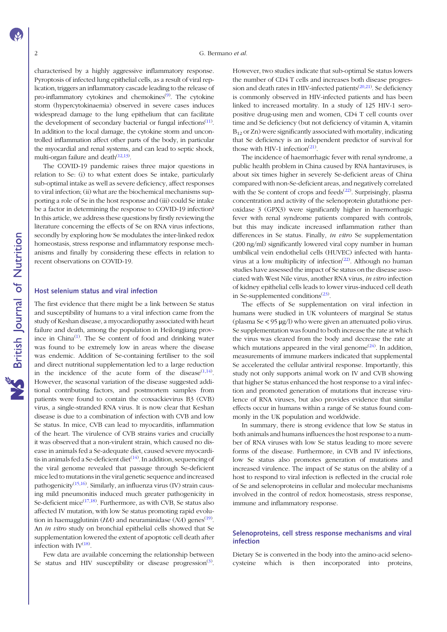characterised by a highly aggressive inflammatory response. Pyroptosis of infected lung epithelial cells, as a result of viral replication, triggers an inflammatory cascade leading to the release of pro-inflammatory cytokines and chemokines<sup>([9\)](#page-6-0)</sup>. The cytokine storm (hypercytokinaemia) observed in severe cases induces widespread damage to the lung epithelium that can facilitate the development of secondary bacterial or fungal infections<sup>([11\)](#page-6-0)</sup>. In addition to the local damage, the cytokine storm and uncontrolled inflammation affect other parts of the body, in particular the myocardial and renal systems, and can lead to septic shock, multi-organ failure and death<sup>([12,13\)](#page-6-0)</sup>.

The COVID-19 pandemic raises three major questions in relation to Se: (i) to what extent does Se intake, particularly sub-optimal intake as well as severe deficiency, affect responses to viral infection; (ii) what are the biochemical mechanisms supporting a role of Se in the host response and (iii) could Se intake be a factor in determining the response to COVID-19 infection? In this article, we address these questions by firstly reviewing the literature concerning the effects of Se on RNA virus infections, secondly by exploring how Se modulates the inter-linked redox homeostasis, stress response and inflammatory response mechanisms and finally by considering these effects in relation to recent observations on COVID-19.

# Host selenium status and viral infection

The first evidence that there might be a link between Se status and susceptibility of humans to a viral infection came from the study of Keshan disease, a myocardiopathy associated with heart failure and death, among the population in Heilongjiang prov-ince in China<sup>[\(1](#page-6-0))</sup>. The Se content of food and drinking water was found to be extremely low in areas where the disease was endemic. Addition of Se-containing fertiliser to the soil and direct nutritional supplementation led to a large reduction in the incidence of the acute form of the disease $(1,14)$  $(1,14)$  $(1,14)$ . However, the seasonal variation of the disease suggested additional contributing factors, and postmortem samples from patients were found to contain the coxsackievirus B3 (CVB) virus, a single-stranded RNA virus. It is now clear that Keshan disease is due to a combination of infection with CVB and low Se status. In mice, CVB can lead to myocarditis, inflammation of the heart. The virulence of CVB strains varies and crucially it was observed that a non-virulent strain, which caused no disease in animals fed a Se-adequate diet, caused severe myocarditis in animals fed a Se-deficient diet $^{(14)}$  $^{(14)}$  $^{(14)}$ . In addition, sequencing of the viral genome revealed that passage through Se-deficient mice led to mutations in the viral genetic sequence and increased pathogenicity<sup>[\(15,16](#page-7-0))</sup>. Similarly, an influenza virus (IV) strain causing mild pneumonitis induced much greater pathogenicity in Se-deficient mice<sup>([17,18\)](#page-7-0)</sup>. Furthermore, as with CVB, Se status also affected IV mutation, with low Se status promoting rapid evolu-tion in haemagglutinin (HA) and neuraminidase (NA) genes<sup>([19\)](#page-7-0)</sup>. An *in vitro* study on bronchial epithelial cells showed that Se supplementation lowered the extent of apoptotic cell death after infection with  $IV^{(18)}$  $IV^{(18)}$  $IV^{(18)}$ .

Few data are available concerning the relationship between Se status and HIV susceptibility or disease progression<sup>([3\)](#page-6-0)</sup>. However, two studies indicate that sub-optimal Se status lowers the number of CD4 T cells and increases both disease progression and death rates in HIV-infected patients<sup> $(20,21)$  $(20,21)$  $(20,21)$  $(20,21)$ </sup>. Se deficiency is commonly observed in HIV-infected patients and has been linked to increased mortality. In a study of 125 HIV-1 seropositive drug-using men and women, CD4 T cell counts over time and Se deficiency (but not deficiency of vitamin A, vitamin  $B_{12}$  or Zn) were significantly associated with mortality, indicating that Se deficiency is an independent predictor of survival for those with HIV-1 infection $(21)$  $(21)$  $(21)$ .

The incidence of haemorrhagic fever with renal syndrome, a public health problem in China caused by RNA hantaviruses, is about six times higher in severely Se-deficient areas of China compared with non-Se-deficient areas, and negatively correlated with the Se content of crops and feeds $(22)$  $(22)$ . Surprisingly, plasma concentration and activity of the selenoprotein glutathione peroxidase 3 (GPX3) were significantly higher in haemorrhagic fever with renal syndrome patients compared with controls, but this may indicate increased inflammation rather than differences in Se status. Finally, *in vitro* Se supplementation (200 ng/ml) significantly lowered viral copy number in human umbilical vein endothelial cells (HUVEC) infected with hanta-virus at a low multiplicity of infection<sup>([22](#page-7-0))</sup>. Although no human studies have assessed the impact of Se status on the disease associated with West Nile virus, another RNA virus, in vitro infection of kidney epithelial cells leads to lower virus-induced cell death in Se-supplemented conditions $(23)$  $(23)$ .

The effects of Se supplementation on viral infection in humans were studied in UK volunteers of marginal Se status (plasma Se < 95 μg/l) who were given an attenuated polio virus. Se supplementation was found to both increase the rate at which the virus was cleared from the body and decrease the rate at which mutations appeared in the viral genome<sup> $(24)$  $(24)$  $(24)$ </sup>. In addition, measurements of immune markers indicated that supplemental Se accelerated the cellular antiviral response. Importantly, this study not only supports animal work on IV and CVB showing that higher Se status enhanced the host response to a viral infection and promoted generation of mutations that increase virulence of RNA viruses, but also provides evidence that similar effects occur in humans within a range of Se status found commonly in the UK population and worldwide.

In summary, there is strong evidence that low Se status in both animals and humans influences the host response to a number of RNA viruses with low Se status leading to more severe forms of the disease. Furthermore, in CVB and IV infections, low Se status also promotes generation of mutations and increased virulence. The impact of Se status on the ability of a host to respond to viral infection is reflected in the crucial role of Se and selenoproteins in cellular and molecular mechanisms involved in the control of redox homeostasis, stress response, immune and inflammatory response.

# Selenoproteins, cell stress response mechanisms and viral infection

Dietary Se is converted in the body into the amino-acid selenocysteine which is then incorporated into proteins,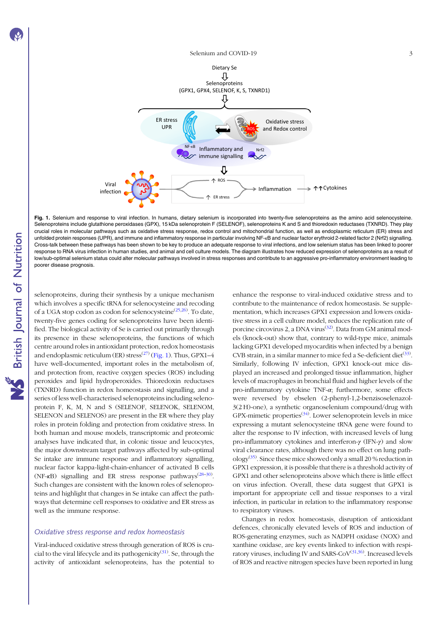<span id="page-2-0"></span>

**NS** British Journal of Nutrition

Fig. 1. Selenium and response to viral infection. In humans, dietary selenium is incorporated into twenty-five selenoproteins as the amino acid selenocysteine. Selenoproteins include glutathione peroxidases (GPX), 15 kDa selenoprotein F (SELENOF), selenoproteins K and S and thioredoxin reductases (TXNRD). They play crucial roles in molecular pathways such as oxidative stress response, redox control and mitochondrial function, as well as endoplasmic reticulum (ER) stress and unfolded protein responses (UPR), and immune and inflammatory response in particular involving NF-<sub>K</sub>B and nuclear factor erythroid 2-related factor 2 (Nrf2) signalling. Cross-talk between these pathways has been shown to be key to produce an adequate response to viral infections, and low selenium status has been linked to poorer response to RNA virus infection in human studies, and animal and cell culture models. The diagram illustrates how reduced expression of selenoproteins as a result of low/sub-optimal selenium status could alter molecular pathways involved in stress responses and contribute to an aggressive pro-inflammatory environment leading to poorer disease prognosis.

selenoproteins, during their synthesis by a unique mechanism which involves a specific tRNA for selenocysteine and recoding of a UGA stop codon as codon for selenocysteine<sup>([25](#page-7-0),[26\)](#page-7-0)</sup>. To date, twenty-five genes coding for selenoproteins have been identified. The biological activity of Se is carried out primarily through its presence in these selenoproteins, the functions of which centre around roles in antioxidant protection, redox homeostasis and endoplasmic reticulum (ER) stress<sup>([27](#page-7-0))</sup> (Fig. 1). Thus, GPX1–4 have well-documented, important roles in the metabolism of, and protection from, reactive oxygen species (ROS) including peroxides and lipid hydroperoxides. Thioredoxin reductases (TXNRD) function in redox homeostasis and signalling, and a series of less well-characterised selenoproteins including selenoprotein F, K, M, N and S (SELENOF, SELENOK, SELENOM, SELENON and SELENOS) are present in the ER where they play roles in protein folding and protection from oxidative stress. In both human and mouse models, transcriptomic and proteomic analyses have indicated that, in colonic tissue and leucocytes, the major downstream target pathways affected by sub-optimal Se intake are immune response and inflammatory signalling, nuclear factor kappa-light-chain-enhancer of activated B cells (NF- $\kappa$ B) signalling and ER stress response pathways<sup>[\(28](#page-7-0)-[30\)](#page-7-0)</sup>. Such changes are consistent with the known roles of selenoproteins and highlight that changes in Se intake can affect the pathways that determine cell responses to oxidative and ER stress as well as the immune response.

### Oxidative stress response and redox homeostasis

Viral-induced oxidative stress through generation of ROS is cru-cial to the viral lifecycle and its pathogenicity<sup>([31\)](#page-7-0)</sup>. Se, through the activity of antioxidant selenoproteins, has the potential to enhance the response to viral-induced oxidative stress and to contribute to the maintenance of redox homeostasis. Se supplementation, which increases GPX1 expression and lowers oxidative stress in a cell culture model, reduces the replication rate of porcine circovirus 2, a DNA virus<sup>([32](#page-7-0))</sup>. Data from GM animal models (knock-out) show that, contrary to wild-type mice, animals lacking GPX1 developed myocarditis when infected by a benign CVB strain, in a similar manner to mice fed a Se-deficient diet<sup>([33](#page-7-0))</sup>. Similarly, following IV infection, GPX1 knock-out mice displayed an increased and prolonged tissue inflammation, higher levels of macrophages in bronchial fluid and higher levels of the pro-inflammatory cytokine TNF- $\alpha$ ; furthermore, some effects were reversed by ebselen (2-phenyl-1,2-benzisoselenazol-3(2 H)-one), a synthetic organoselenium compound/drug with GPX-mimetic properties<sup>([34\)](#page-7-0)</sup>. Lower selenoprotein levels in mice expressing a mutant selenocysteine tRNA gene were found to alter the response to IV infection, with increased levels of lung pro-inflammatory cytokines and interferon-γ (IFN-γ) and slow viral clearance rates, although there was no effect on lung path-ology<sup>([35\)](#page-7-0)</sup>. Since these mice showed only a small 20 % reduction in GPX1 expression, it is possible that there is a threshold activity of GPX1 and other selenoproteins above which there is little effect on virus infection. Overall, these data suggest that GPX1 is important for appropriate cell and tissue responses to a viral infection, in particular in relation to the inflammatory response to respiratory viruses.

Changes in redox homeostasis, disruption of antioxidant defences, chronically elevated levels of ROS and induction of ROS-generating enzymes, such as NADPH oxidase (NOX) and xanthine oxidase, are key events linked to infection with respiratory viruses, including IV and SARS-CoV $^{(31,36)}$  $^{(31,36)}$  $^{(31,36)}$  $^{(31,36)}$  $^{(31,36)}$ . Increased levels of ROS and reactive nitrogen species have been reported in lung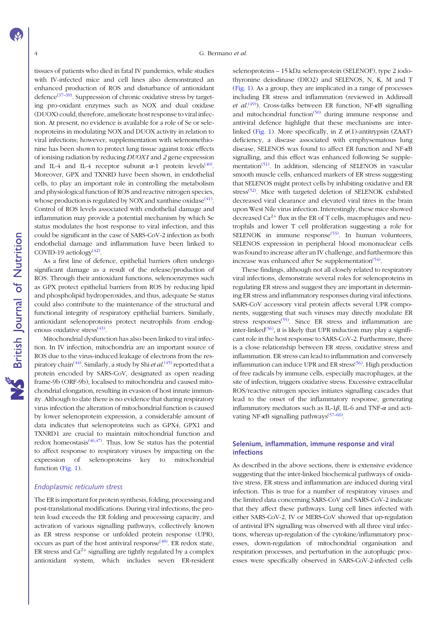tissues of patients who died in fatal IV pandemics, while studies with IV-infected mice and cell lines also demonstrated an enhanced production of ROS and disturbance of antioxidant defence<sup>[\(37](#page-7-0)-[39\)](#page-7-0)</sup>. Suppression of chronic oxidative stress by targeting pro-oxidant enzymes such as NOX and dual oxidase (DUOX) could, therefore, ameliorate host response to viral infection. At present, no evidence is available for a role of Se or selenoproteins in modulating NOX and DUOX activity in relation to viral infections; however, supplementation with selenomethionine has been shown to protect lung tissue against toxic effects of ionising radiation by reducing DUOX1 and 2 gene expression and IL-4 and IL-4 receptor subunit  $\alpha$ -1 protein levels<sup>([40\)](#page-7-0)</sup>. Moreover, GPX and TXNRD have been shown, in endothelial cells, to play an important role in controlling the metabolism and physiological function of ROS and reactive nitrogen species, whose production is regulated by NOX and xanthine oxidase $^{(41)}$  $^{(41)}$  $^{(41)}$ . Control of ROS levels associated with endothelial damage and inflammation may provide a potential mechanism by which Se status modulates the host response to viral infection, and this could be significant in the case of SARS-CoV-2 infection as both endothelial damage and inflammation have been linked to COVID-19 aetiology $(42)$  $(42)$  $(42)$ .

As a first line of defence, epithelial barriers often undergo significant damage as a result of the release/production of ROS. Through their antioxidant functions, selenoenzymes such as GPX protect epithelial barriers from ROS by reducing lipid and phospholipid hydroperoxides, and thus, adequate Se status could also contribute to the maintenance of the structural and functional integrity of respiratory epithelial barriers. Similarly, antioxidant selenoproteins protect neutrophils from endog-enous oxidative stress<sup>([43\)](#page-7-0)</sup>.

Mitochondrial dysfunction has also been linked to viral infection. In IV infection, mitochondria are an important source of ROS due to the virus-induced leakage of electrons from the res-piratory chain<sup>([44](#page-7-0))</sup>. Similarly, a study by Shi *et al*.<sup>([45](#page-7-0))</sup> reported that a protein encoded by SARS-CoV, designated as open reading frame-9b (ORF-9b), localised to mitochondria and caused mitochondrial elongation, resulting in evasion of host innate immunity. Although to date there is no evidence that during respiratory virus infection the alteration of mitochondrial function is caused by lower selenoprotein expression, a considerable amount of data indicates that selenoproteins such as GPX4, GPX1 and TXNRD1 are crucial to maintain mitochondrial function and redox homeostasis<sup> $(46,47)$  $(46,47)$  $(46,47)$  $(46,47)$ </sup>. Thus, low Se status has the potential to affect response to respiratory viruses by impacting on the expression of selenoproteins key to mitochondrial function ([Fig. 1\)](#page-2-0).

### Endoplasmic reticulum stress

The ER is important for protein synthesis, folding, processing and post-translational modifications. During viral infections, the protein load exceeds the ER folding and processing capacity, and activation of various signalling pathways, collectively known as ER stress response or unfolded protein response (UPR), occurs as part of the host antiviral response<sup>([48\)](#page-7-0)</sup>. ER redox state, ER stress and  $Ca^{2+}$  signalling are tightly regulated by a complex antioxidant system, which includes seven ER-resident selenoproteins – 15 kDa selenoprotein (SELENOF), type 2 iodothyronine deiodinase (DIO2) and SELENOS, N, K, M and T [\(Fig. 1\)](#page-2-0). As a group, they are implicated in a range of processes including ER stress and inflammation (reviewed in Addinsall et  $al^{(49)}$  $al^{(49)}$  $al^{(49)}$ ). Cross-talks between ER function, NF- $\kappa$ B signalling and mitochondrial function<sup> $(50)$  $(50)$ </sup> during immune response and antiviral defence highlight that these mechanisms are inter-linked [\(Fig. 1\)](#page-2-0). More specifically, in Z  $\alpha$ (1)-antitrypsin (ZAAT) deficiency, a disease associated with emphysematous lung disease, SELENOS was found to affect ER function and NF-κB signalling, and this effect was enhanced following Se supple-mentation<sup>[\(51\)](#page-7-0)</sup>. In addition, silencing of SELENOS in vascular smooth muscle cells, enhanced markers of ER stress suggesting that SELENOS might protect cells by inhibiting oxidative and ER stress<sup>([52](#page-7-0))</sup>. Mice with targeted deletion of SELENOK exhibited decreased viral clearance and elevated viral titres in the brain upon West Nile virus infection. Interestingly, these mice showed decreased  $Ca^{2+}$  flux in the ER of T cells, macrophages and neutrophils and lower T cell proliferation suggesting a role for SELENOK in immune response<sup> $(53)$  $(53)$ </sup>. In human volunteers, SELENOS expression in peripheral blood mononuclear cells was found to increase after an IV challenge, and furthermore this increase was enhanced after Se supplementation<sup>[\(54\)](#page-8-0)</sup>.

These findings, although not all closely related to respiratory viral infections, demonstrate several roles for selenoproteins in regulating ER stress and suggest they are important in determining ER stress and inflammatory responses during viral infections. SARS-CoV accessory viral protein affects several UPR components, suggesting that such viruses may directly modulate ER stress responses<sup>([55\)](#page-8-0)</sup>. Since ER stress and inflammation are inter-linked<sup>([56](#page-8-0))</sup>, it is likely that UPR induction may play a significant role in the host response to SARS-CoV-2. Furthermore, there is a close relationship between ER stress, oxidative stress and inflammation. ER stress can lead to inflammation and conversely inflammation can induce UPR and ER stress<sup>([56\)](#page-8-0)</sup>. High production of free radicals by immune cells, especially macrophages, at the site of infection, triggers oxidative stress. Excessive extracellular ROS/reactive nitrogen species initiates signalling cascades that lead to the onset of the inflammatory response, generating inflammatory mediators such as IL-1 $\beta$ , IL-6 and TNF- $\alpha$  and acti-vating NF-κB signalling pathways<sup>([57](#page-8-0)-[60\)](#page-8-0)</sup>.

# Selenium, inflammation, immune response and viral infections

As described in the above sections, there is extensive evidence suggesting that the inter-linked biochemical pathways of oxidative stress, ER stress and inflammation are induced during viral infection. This is true for a number of respiratory viruses and the limited data concerning SARS-CoV and SARS-CoV-2 indicate that they affect these pathways. Lung cell lines infected with either SARS-CoV-2, IV or MERS-CoV showed that up-regulation of antiviral IFN signalling was observed with all three viral infections, whereas up-regulation of the cytokine/inflammatory processes, down-regulation of mitochondrial organisation and respiration processes, and perturbation in the autophagic processes were specifically observed in SARS-CoV-2-infected cells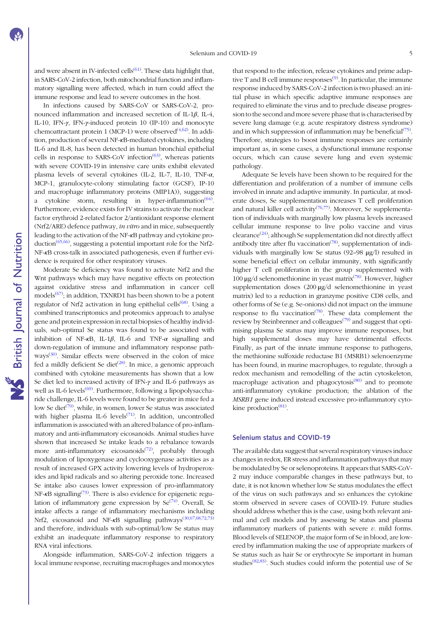**NS** British Journal of Nutrition

and were absent in IV-infected cells $^{(61)}$  $^{(61)}$  $^{(61)}$ . These data highlight that, in SARS-CoV-2 infection, both mitochondrial function and inflammatory signalling were affected, which in turn could affect the immune response and lead to severe outcomes in the host.

In infections caused by SARS-CoV or SARS-CoV-2, pronounced inflammation and increased secretion of IL-1β, IL-4, IL-10, IFN-γ, IFN-γ-induced protein 10 (IP-10) and monocyte chemoattractant protein 1 (MCP-1) were observed<sup>([4,](#page-6-0)[62\)](#page-8-0)</sup>. In addition, production of several NF-κB-mediated cytokines, including IL-6 and IL-8, has been detected in human bronchial epithelial cells in response to SARS-CoV infection<sup> $(63)$  $(63)$ </sup>, whereas patients with severe COVID-19 in intensive care units exhibit elevated plasma levels of several cytokines (IL-2, IL-7, IL-10, TNF- $\alpha$ , MCP-1, granulocyte-colony stimulating factor (GCSF), IP-10 and macrophage inflammatory proteins (MIP1A)), suggesting a cytokine storm, resulting in hyper-inflammation<sup>([64\)](#page-8-0)</sup>. Furthermore, evidence exists for IV strains to activate the nuclear factor erythroid 2-related factor 2/antioxidant response element (Nrf2/ARE) defence pathway, in vitro and in mice, subsequently leading to the activation of the NF-κB pathway and cytokine production<sup> $(65,66)$  $(65,66)$ </sup>, suggesting a potential important role for the Nrf2-NF-κB cross-talk in associated pathogenesis, even if further evidence is required for other respiratory viruses.

Moderate Se deficiency was found to activate Nrf2 and the Wnt pathways which may have negative effects on protection against oxidative stress and inflammation in cancer cell models<sup>([67\)](#page-8-0)</sup>; in addition, TXNRD1 has been shown to be a potent regulator of Nrf2 activation in lung epithelial cells<sup>([68](#page-8-0))</sup>. Using a combined transcriptomics and proteomics approach to analyse gene and protein expression in rectal biopsies of healthy individuals, sub-optimal Se status was found to be associated with inhibition of NF- $\kappa$ B, IL-1 $\beta$ , IL-6 and TNF- $\alpha$  signalling and down-regulation of immune and inflammatory response path- $ways^{(30)}$  $ways^{(30)}$  $ways^{(30)}$ . Similar effects were observed in the colon of mice fed a mildly deficient Se diet<sup>[\(28\)](#page-7-0)</sup>. In mice, a genomic approach combined with cytokine measurements has shown that a low Se diet led to increased activity of IFN-γ and IL-6 pathways as well as IL-6 levels<sup>[\(69\)](#page-8-0)</sup>. Furthermore, following a lipopolysaccharide challenge, IL-6 levels were found to be greater in mice fed a low Se diet<sup>([70\)](#page-8-0)</sup>, while, in women, lower Se status was associated with higher plasma IL-6 levels<sup> $(71)$  $(71)$ </sup>. In addition, uncontrolled inflammation is associated with an altered balance of pro-inflammatory and anti-inflammatory eicosanoids. Animal studies have shown that increased Se intake leads to a rebalance towards more anti-inflammatory eicosanoids<sup>([72](#page-8-0))</sup>, probably through modulation of lipoxygenase and cyclooxygenase activities as a result of increased GPX activity lowering levels of hydroperoxides and lipid radicals and so altering peroxide tone. Increased Se intake also causes lower expression of pro-inflammatory NF-κB signalling<sup>([73](#page-8-0))</sup>. There is also evidence for epigenetic regulation of inflammatory gene expression by  $Se^{(74)}$  $Se^{(74)}$  $Se^{(74)}$ . Overall, Se intake affects a range of inflammatory mechanisms including Nrf2, eicosanoid and NF-KB signalling pathways<sup>[\(30,](#page-7-0)[67,68](#page-8-0),[72](#page-8-0),[73](#page-8-0))</sup> and therefore, individuals with sub-optimal/low Se status may exhibit an inadequate inflammatory response to respiratory RNA viral infections.

Alongside inflammation, SARS-CoV-2 infection triggers a local immune response, recruiting macrophages and monocytes that respond to the infection, release cytokines and prime adap-tive T and B cell immune responses<sup>[\(9](#page-6-0))</sup>. In particular, the immune response induced by SARS-CoV-2 infection is two phased: an initial phase in which specific adaptive immune responses are required to eliminate the virus and to preclude disease progression to the second and more severe phase that is characterised by severe lung damage (e.g. acute respiratory distress syndrome) and in which suppression of inflammation may be beneficial $(75)$  $(75)$  $(75)$ . Therefore, strategies to boost immune responses are certainly important as, in some cases, a dysfunctional immune response occurs, which can cause severe lung and even systemic pathology.

Adequate Se levels have been shown to be required for the differentiation and proliferation of a number of immune cells involved in innate and adaptive immunity. In particular, at moderate doses, Se supplementation increases T cell proliferation and natural killer cell activity<sup> $(76,77)$  $(76,77)$  $(76,77)$  $(76,77)$  $(76,77)$ </sup>. Moreover, Se supplementation of individuals with marginally low plasma levels increased cellular immune response to live polio vaccine and virus clearance<sup>[\(24\)](#page-7-0)</sup>; although Se supplementation did not directly affect antibody titre after flu vaccination<sup>([78\)](#page-8-0)</sup>, supplementation of individuals with marginally low Se status (92–98 μg/l) resulted in some beneficial effect on cellular immunity, with significantly higher T cell proliferation in the group supplemented with 100 μg/d selenomethionine in yeast matrix<sup>([78\)](#page-8-0)</sup>. However, higher supplementation doses (200 μg/d selenomethionine in yeast matrix) led to a reduction in granzyme positive CD8 cells, and other forms of Se (e.g. Se-onions) did not impact on the immune response to flu vaccination<sup>[\(78\)](#page-8-0)</sup>. These data complement the review by Steinbrenner and colleagues<sup> $(79)$ </sup> and suggest that optimising plasma Se status may improve immune responses, but high supplemental doses may have detrimental effects. Finally, as part of the innate immune response to pathogens, the methionine sulfoxide reductase B1 (MSRB1) selenoenzyme has been found, in murine macrophages, to regulate, through a redox mechanism and remodelling of the actin cytoskeleton, macrophage activation and phagocytosis<sup>[\(80\)](#page-8-0)</sup> and to promote anti-inflammatory cytokine production; the ablation of the MSRB1 gene induced instead excessive pro-inflammatory cyto-kine production<sup>[\(81\)](#page-8-0)</sup>.

### Selenium status and COVID-19

The available data suggest that several respiratory viruses induce changes in redox, ER stress and inflammation pathways that may be modulated by Se or selenoproteins. It appears that SARS-CoV-2 may induce comparable changes in these pathways but, to date, it is not known whether low Se status modulates the effect of the virus on such pathways and so enhances the cytokine storm observed in severe cases of COVID-19. Future studies should address whether this is the case, using both relevant animal and cell models and by assessing Se status and plasma inflammatory markers of patients with severe  $v$ . mild forms. Blood levels of SELENOP, the major form of Se in blood, are lowered by inflammation making the use of appropriate markers of Se status such as hair Se or erythrocyte Se important in human studies<sup>([82,83\)](#page-8-0)</sup>. Such studies could inform the potential use of Se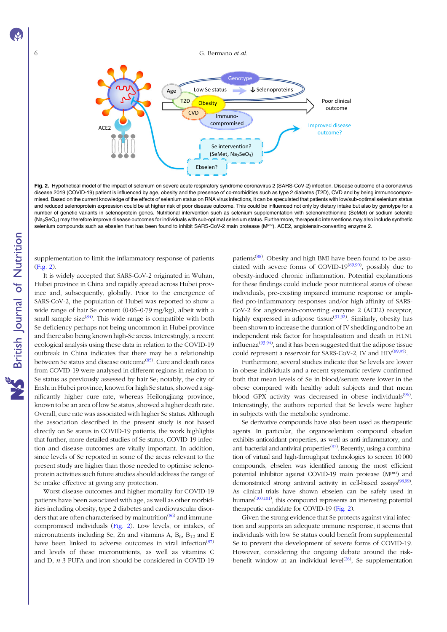<span id="page-5-0"></span>

Fig. 2. Hypothetical model of the impact of selenium on severe acute respiratory syndrome coronavirus 2 (SARS-CoV-2) infection. Disease outcome of a coronavirus disease 2019 (COVID-19) patient is influenced by age, obesity and the presence of co-morbidities such as type 2 diabetes (T2D), CVD and by being immunocompromised. Based on the current knowledge of the effects of selenium status on RNA virus infections, it can be speculated that patients with low/sub-optimal selenium status and reduced selenoprotein expression could be at higher risk of poor disease outcome. This could be influenced not only by dietary intake but also by genotype for a number of genetic variants in selenoprotein genes. Nutritional intervention such as selenium supplementation with selenomethionine (SeMet) or sodium selenite (Na<sub>2</sub>SeO<sub>3</sub>) may therefore improve disease outcomes for individuals with sub-optimal selenium status. Furthermore, therapeutic interventions may also include synthetic selenium compounds such as ebselen that has been found to inhibit SARS-CoV-2 main protease (MP<sup>ro</sup>). ACE2, angiotensin-converting enzyme 2.

supplementation to limit the inflammatory response of patients (Fig. 2).

It is widely accepted that SARS-CoV-2 originated in Wuhan, Hubei province in China and rapidly spread across Hubei province and, subsequently, globally. Prior to the emergence of SARS-CoV-2, the population of Hubei was reported to show a wide range of hair Se content (0·06–0·79 mg/kg), albeit with a small sample size $(84)$  $(84)$ . This wide range is compatible with both Se deficiency perhaps not being uncommon in Hubei province and there also being known high-Se areas. Interestingly, a recent ecological analysis using these data in relation to the COVID-19 outbreak in China indicates that there may be a relationship between Se status and disease outcome<sup>([85\)](#page-8-0)</sup>. Cure and death rates from COVID-19 were analysed in different regions in relation to Se status as previously assessed by hair Se; notably, the city of Enshi in Hubei province, known for high Se status, showed a significantly higher cure rate, whereas Heilongjiang province, known to be an area of low Se status, showed a higher death rate. Overall, cure rate was associated with higher Se status. Although the association described in the present study is not based directly on Se status in COVID-19 patients, the work highlights that further, more detailed studies of Se status, COVID-19 infection and disease outcomes are vitally important. In addition, since levels of Se reported in some of the areas relevant to the present study are higher than those needed to optimise selenoprotein activities such future studies should address the range of Se intake effective at giving any protection.

Worst disease outcomes and higher mortality for COVID-19 patients have been associated with age, as well as other morbidities including obesity, type 2 diabetes and cardiovascular disor-ders that are often characterised by malnutrition<sup>[\(86](#page-8-0))</sup> and immunecompromised individuals (Fig. 2). Low levels, or intakes, of micronutrients including Se, Zn and vitamins A,  $B_6$ ,  $B_{12}$  and E have been linked to adverse outcomes in viral infection<sup>([87](#page-8-0))</sup> and levels of these micronutrients, as well as vitamins C and D, n-3 PUFA and iron should be considered in COVID-19

patients<sup>([88](#page-8-0))</sup>. Obesity and high BMI have been found to be asso-ciated with severe forms of COVID-19<sup>[\(89,90\)](#page-8-0)</sup>, possibly due to obesity-induced chronic inflammation. Potential explanations for these findings could include poor nutritional status of obese individuals, pre-existing impaired immune response or amplified pro-inflammatory responses and/or high affinity of SARS-CoV-2 for angiotensin-converting enzyme 2 (ACE2) receptor, highly expressed in adipose tissue<sup>[\(91](#page-8-0),[92](#page-8-0))</sup>. Similarly, obesity has been shown to increase the duration of IV shedding and to be an independent risk factor for hospitalisation and death in H1N1 influenza $(93,94)$  $(93,94)$ , and it has been suggested that the adipose tissue could represent a reservoir for SARS-CoV-2, IV and HIV<sup>([89](#page-8-0),[95\)](#page-9-0)</sup>.

Furthermore, several studies indicate that Se levels are lower in obese individuals and a recent systematic review confirmed both that mean levels of Se in blood/serum were lower in the obese compared with healthy adult subjects and that mean blood GPX activity was decreased in obese individuals<sup>([96](#page-9-0))</sup>. Interestingly, the authors reported that Se levels were higher in subjects with the metabolic syndrome.

Se derivative compounds have also been used as therapeutic agents. In particular, the organoselenium compound ebselen exhibits antioxidant properties, as well as anti-inflammatory, and anti-bacterial and antiviral properties<sup>[\(97\)](#page-9-0)</sup>. Recently, using a combination of virtual and high-throughput technologies to screen 10 000 compounds, ebselen was identified among the most efficient potential inhibitor against COVID-19 main protease (Mpro) and demonstrated strong antiviral activity in cell-based assays<sup>[\(98,99](#page-9-0))</sup>. As clinical trials have shown ebselen can be safely used in humans<sup>[\(100,101](#page-9-0))</sup>, this compound represents an interesting potential therapeutic candidate for COVID-19 (Fig. 2).

Given the strong evidence that Se protects against viral infection and supports an adequate immune response, it seems that individuals with low Se status could benefit from supplemental Se to prevent the development of severe forms of COVID-19. However, considering the ongoing debate around the risk-benefit window at an individual level<sup>([26\)](#page-7-0)</sup>, Se supplementation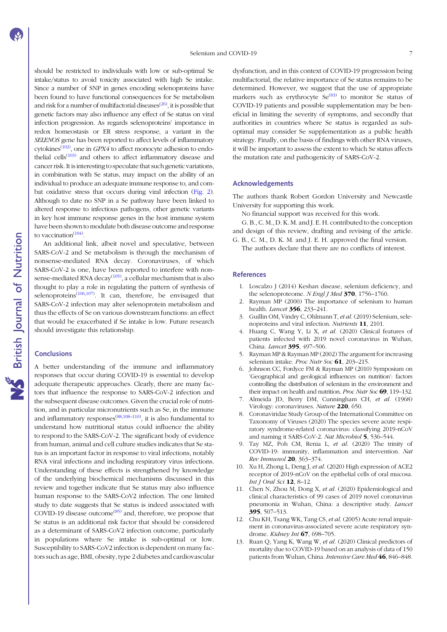<span id="page-6-0"></span>should be restricted to individuals with low or sub-optimal Se intake/status to avoid toxicity associated with high Se intake. Since a number of SNP in genes encoding selenoproteins have been found to have functional consequences for Se metabolism and risk for a number of multifactorial diseases<sup>([26\)](#page-7-0)</sup>, it is possible that genetic factors may also influence any effect of Se status on viral infection progression. As regards selenoproteins' importance in redox homeostasis or ER stress response, a variant in the SELENOS gene has been reported to affect levels of inflammatory cytokines<sup>([102\)](#page-9-0)</sup>, one in GPX4 to affect monocyte adhesion to endo-thelial cells<sup>[\(103](#page-9-0))</sup> and others to affect inflammatory disease and cancer risk. It is interesting to speculate that such genetic variations, in combination with Se status, may impact on the ability of an individual to produce an adequate immune response to, and combat oxidative stress that occurs during viral infection [\(Fig. 2\)](#page-5-0). Although to date no SNP in a Se pathway have been linked to altered response to infectious pathogens, other genetic variants in key host immune response genes in the host immune system have been shown to modulate both disease outcome and response to vaccination $(104)$ .

An additional link, albeit novel and speculative, between SARS-CoV-2 and Se metabolism is through the mechanism of nonsense-mediated RNA decay. Coronaviruses, of which SARS-CoV-2 is one, have been reported to interfere with nonsense-mediated RNA decay $(105)$ , a cellular mechanism that is also thought to play a role in regulating the pattern of synthesis of selenoproteins<sup>([106,107\)](#page-9-0)</sup>. It can, therefore, be envisaged that SARS-CoV-2 infection may alter selenoprotein metabolism and thus the effects of Se on various downstream functions: an effect that would be exacerbated if Se intake is low. Future research should investigate this relationship.

### **Conclusions**

A better understanding of the immune and inflammatory responses that occur during COVID-19 is essential to develop adequate therapeutic approaches. Clearly, there are many factors that influence the response to SARS-CoV-2 infection and the subsequent disease outcomes. Given the crucial role of nutrition, and in particular micronutrients such as Se, in the immune and inflammatory responses<sup>([88](#page-8-0),[108](#page-9-0)-[110\)](#page-9-0)</sup>, it is also fundamental to understand how nutritional status could influence the ability to respond to the SARS-CoV-2. The significant body of evidence from human, animal and cell culture studies indicates that Se status is an important factor in response to viral infections, notably RNA viral infections and including respiratory virus infections. Understanding of these effects is strengthened by knowledge of the underlying biochemical mechanisms discussed in this review and together indicate that Se status may also influence human response to the SARS-CoV2 infection. The one limited study to date suggests that Se status is indeed associated with COVID-19 disease outcome<sup> $(85)$  $(85)$ </sup> and, therefore, we propose that Se status is an additional risk factor that should be considered as a determinant of SARS-CoV2 infection outcome, particularly in populations where Se intake is sub-optimal or low. Susceptibility to SARS-CoV2 infection is dependent on many factors such as age, BMI, obesity, type 2 diabetes and cardiovascular dysfunction, and in this context of COVID-19 progression being multifactorial, the relative importance of Se status remains to be determined. However, we suggest that the use of appropriate markers such as erythrocyte  $\text{Se}^{(83)}$  $\text{Se}^{(83)}$  $\text{Se}^{(83)}$  to monitor Se status of COVID-19 patients and possible supplementation may be beneficial in limiting the severity of symptoms, and secondly that authorities in countries where Se status is regarded as suboptimal may consider Se supplementation as a public health strategy. Finally, on the basis of findings with other RNA viruses, it will be important to assess the extent to which Se status affects the mutation rate and pathogenicity of SARS-CoV-2.

# Acknowledgements

The authors thank Robert Gordon University and Newcastle University for supporting this work.

No financial support was received for this work.

G. B., C. M., D. K. M. and J. E. H. contributed to the conception and design of this review, drafting and revising of the article.

G. B., C. M., D. K. M. and J. E. H. approved the final version. The authors declare that there are no conflicts of interest.

### References

- 1. Loscalzo J (2014) Keshan disease, selenium deficiency, and the selenoproteome. N Engl J Med  $370$ , 1756–1760.
- 2. Rayman MP (2000) The importance of selenium to human health. *Lancet* **356**, 233-241.
- 3. Guillin OM, Vindry C, Ohlmann T, et al. (2019) Selenium, selenoproteins and viral infection. Nutrients 11, 2101.
- 4. Huang C, Wang Y, Li X, et al. (2020) Clinical features of patients infected with 2019 novel coronavirus in Wuhan, China. *Lancet* 395, 497-506.
- 5. Rayman MP & Rayman MP (2002) The argument for increasing selenium intake. Proc Nutr Soc 61, 203-215.
- 6. Johnson CC, Fordyce FM & Rayman MP (2010) Symposium on 'Geographical and geological influences on nutrition': factors controlling the distribution of selenium in the environment and their impact on health and nutrition. Proc Nutr Soc 69, 119-132.
- 7. Almeida JD, Berry DM, Cunningham CH, et al. (1968) Virology: coronaviruses. Nature 220, 650.
- 8. Coronaviridae Study Group of the International Committee on Taxonomy of Viruses (2020) The species severe acute respiratory syndrome-related coronavirus: classifying 2019-nCoV and naming it SARS-CoV-2. Nat Microbiol 5, 536–544.
- 9. Tay MZ, Poh CM, Renia L, et al. (2020) The trinity of COVID-19: immunity, inflammation and intervention. Nat Rev Immunol 20, 363–374.
- 10. Xu H, Zhong L, Deng J, et al. (2020) High expression of ACE2 receptor of 2019-nCoV on the epithelial cells of oral mucosa. Int J Oral Sci 12, 8–12.
- 11. Chen N, Zhou M, Dong X, et al. (2020) Epidemiological and clinical characteristics of 99 cases of 2019 novel coronavirus pneumonia in Wuhan, China: a descriptive study. Lancet 395, 507–513.
- 12. Chu KH, Tsang WK, Tang CS, et al. (2005) Acute renal impairment in coronavirus-associated severe acute respiratory syndrome. Kidney Int 67, 698-705.
- 13. Ruan Q, Yang K, Wang W, et al. (2020) Clinical predictors of mortality due to COVID-19 based on an analysis of data of 150 patients from Wuhan, China. Intensive Care Med 46, 846-848.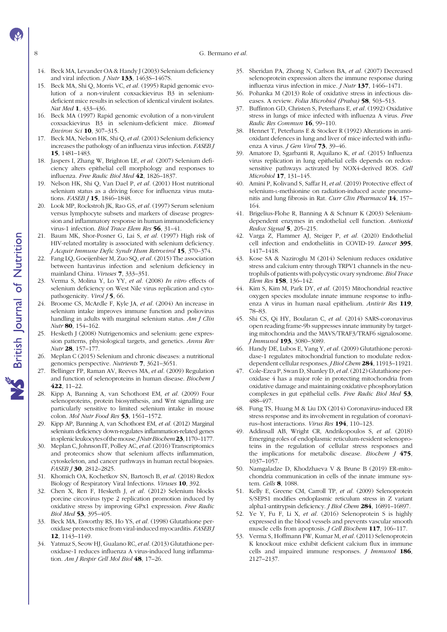8 G. Bermano *et al.* 

- 14. Beck MA, Levander OA & Handy J (2003) Selenium deficiency and viral infection. J Nutr 133, 1463S–1467S.
- 15. Beck MA, Shi Q, Morris VC, et al. (1995) Rapid genomic evolution of a non-virulent coxsackievirus B3 in seleniumdeficient mice results in selection of identical virulent isolates. Nat Med 1, 433-436.
- 16. Beck MA (1997) Rapid genomic evolution of a non-virulent coxsackievirus B3 in selenium-deficient mice. Biomed Environ Sci 10, 307–315.
- 17. Beck MA, Nelson HK, Shi Q, et al. (2001) Selenium deficiency increases the pathology of an influenza virus infection. FASEB J 15, 1481–1483.
- 18. Jaspers I, Zhang W, Brighton LE, et al. (2007) Selenium deficiency alters epithelial cell morphology and responses to influenza. Free Radic Biol Med 42, 1826–1837.
- 19. Nelson HK, Shi Q, Van Dael P, et al. (2001) Host nutritional selenium status as a driving force for influenza virus mutations. *FASEB I* **15**, 1846–1848.
- 20. Look MP, Rockstroh JK, Rao GS, et al. (1997) Serum selenium versus lymphocyte subsets and markers of disease progression and inflammatory response in human immunodeficiency virus-1 infection. Biol Trace Elem Res 56, 31–41.
- 21. Baum MK, Shor-Posner G, Lai S, et al. (1997) High risk of HIV-related mortality is associated with selenium deficiency. J Acquir Immune Defic Syndr Hum Retrovirol 15, 370–374.
- 22. Fang LQ, Goeijenbier M, Zuo SQ, et al. (2015) The association between hantavirus infection and selenium deficiency in mainland China. Viruses 7, 333–351.
- 23. Verma S, Molina Y, Lo YY, et al. (2008) In vitro effects of selenium deficiency on West Nile virus replication and cytopathogenicity. Virol J 5, 66.
- 24. Broome CS, McArdle F, Kyle JA, et al. (2004) An increase in selenium intake improves immune function and poliovirus handling in adults with marginal selenium status. Am J Clin Nutr 80, 154–162.
- 25. Hesketh J (2008) Nutrigenomics and selenium: gene expression patterns, physiological targets, and genetics. Annu Rev Nutr 28, 157–177.
- 26. Meplan C (2015) Selenium and chronic diseases: a nutritional genomics perspective. Nutrients 7, 3621–3651.
- 27. Bellinger FP, Raman AV, Reeves MA, et al. (2009) Regulation and function of selenoproteins in human disease. Biochem J 422, 11–22.
- 28. Kipp A, Banning A, van Schothorst EM, et al. (2009) Four selenoproteins, protein biosynthesis, and Wnt signalling are particularly sensitive to limited selenium intake in mouse colon. Mol Nutr Food Res 53, 1561–1572.
- 29. Kipp AP, Banning A, van Schothorst EM, et al. (2012) Marginal selenium deficiency down-regulates inflammation-related genes in splenicleukocytesofthemouse.JNutrBiochem23, 1170–1177.
- 30. Meplan C, Johnson IT, Polley AC, et al. (2016) Transcriptomics and proteomics show that selenium affects inflammation, cytoskeleton, and cancer pathways in human rectal biopsies. FASEB 130, 2812-2825.
- 31. Khomich OA, Kochetkov SN, Bartosch B, et al. (2018) Redox Biology of Respiratory Viral Infections. Viruses 10, 392.
- 32. Chen X, Ren F, Hesketh J, et al. (2012) Selenium blocks porcine circovirus type 2 replication promotion induced by oxidative stress by improving GPx1 expression. Free Radic Biol Med 53, 395–405.
- 33. Beck MA, Esworthy RS, Ho YS, et al. (1998) Glutathione peroxidase protects mice from viral-induced myocarditis. FASEB J 12, 1143–1149.
- 34. Yatmaz S, Seow HJ, Gualano RC, et al. (2013) Glutathione peroxidase-1 reduces influenza A virus-induced lung inflammation. Am J Respir Cell Mol Biol 48, 17-26.
- 35. Sheridan PA, Zhong N, Carlson BA, et al. (2007) Decreased selenoprotein expression alters the immune response during influenza virus infection in mice. J Nutr 137, 1466–1471.
- 36. Pohanka M (2013) Role of oxidative stress in infectious diseases. A review. Folia Microbiol (Praha) 58, 503-513.
- 37. Buffinton GD, Christen S, Peterhans E, et al. (1992) Oxidative stress in lungs of mice infected with influenza A virus. Free Radic Res Commun 16, 99–110.
- 38. Hennet T, Peterhans E & Stocker R (1992) Alterations in antioxidant defences in lung and liver of mice infected with influenza A virus. *J Gen Virol* **73**, 39-46.
- 39. Amatore D, Sgarbanti R, Aquilano K, et al. (2015) Influenza virus replication in lung epithelial cells depends on redoxsensitive pathways activated by NOX4-derived ROS. Cell Microbiol 17, 131–145.
- 40. Amini P, Kolivand S, Saffar H, et al. (2019) Protective effect of selenium-L-methionine on radiation-induced acute pneumonitis and lung fibrosis in Rat. Curr Clin Pharmacol 14, 157– 164.
- 41. Brigelius-Flohe R, Banning A & Schnurr K (2003) Seleniumdependent enzymes in endothelial cell function. Antioxid Redox Signal 5, 205–215.
- 42. Varga Z, Flammer AJ, Steiger P, et al. (2020) Endothelial cell infection and endotheliitis in COVID-19. Lancet 395, 1417–1418.
- 43. Kose SA & Naziroglu M (2014) Selenium reduces oxidative stress and calcium entry through TRPV1 channels in the neutrophils of patients with polycystic ovary syndrome. Biol Trace Elem Res 158, 136–142.
- 44. Kim S, Kim M, Park DY, et al. (2015) Mitochondrial reactive oxygen species modulate innate immune response to influenza A virus in human nasal epithelium. Antivir Res 119, 78–83.
- 45. Shi CS, Qi HY, Boularan C, et al. (2014) SARS-coronavirus open reading frame-9b suppresses innate immunity by targeting mitochondria and the MAVS/TRAF3/TRAF6 signalosome. J Immunol 193, 3080–3089.
- 46. Handy DE, Lubos E, Yang Y, et al. (2009) Glutathione peroxidase-1 regulates mitochondrial function to modulate redoxdependent cellular responses. *J Biol Chem* 284, 11913-11921.
- 47. Cole-Ezea P, Swan D, Shanley D, et al. (2012) Glutathione peroxidase 4 has a major role in protecting mitochondria from oxidative damage and maintaining oxidative phosphorylation complexes in gut epithelial cells. Free Radic Biol Med 53, 488–497.
- 48. Fung TS, Huang M & Liu DX (2014) Coronavirus-induced ER stress response and its involvement in regulation of coronavirus–host interactions. Virus Res 194, 110–123.
- 49. Addinsall AB, Wright CR, Andrikopoulos S, et al. (2018) Emerging roles of endoplasmic reticulum-resident selenoproteins in the regulation of cellular stress responses and the implications for metabolic disease. Biochem J 475, 1037–1057.
- 50. Namgaladze D, Khodzhaeva V & Brune B (2019) ER-mitochondria communication in cells of the innate immune system. Cells 8, 1088.
- 51. Kelly E, Greene CM, Carroll TP, et al. (2009) Selenoprotein S/SEPS1 modifies endoplasmic reticulum stress in Z variant alpha1-antitrypsin deficiency. J Biol Chem 284, 16891–16897.
- 52. Ye Y, Fu F, Li X, et al. (2016) Selenoprotein S is highly expressed in the blood vessels and prevents vascular smooth muscle cells from apoptosis. J Cell Biochem 117, 106–117.
- 53. Verma S, Hoffmann FW, Kumar M, et al. (2011) Selenoprotein K knockout mice exhibit deficient calcium flux in immune cells and impaired immune responses. *J Immunol* 186, 2127–2137.

# **NS** British Journal of Nutrition

<span id="page-7-0"></span>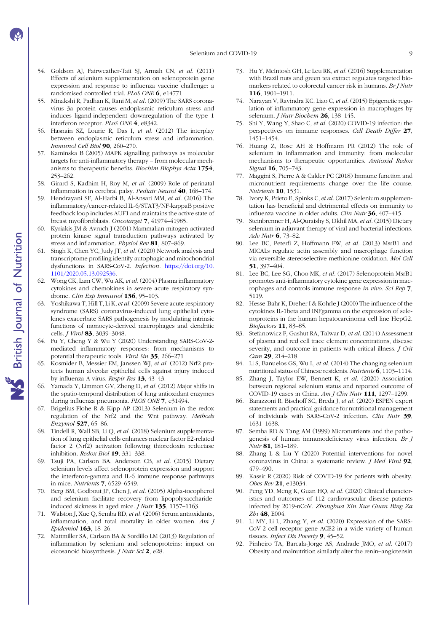Selenium and COVID-19 9

- 54. Goldson AJ, Fairweather-Tait SJ, Armah CN, et al. (2011) Effects of selenium supplementation on selenoprotein gene expression and response to influenza vaccine challenge: a randomised controlled trial. PLoS ONE 6, e14771.
- 55. Minakshi R, Padhan K, Rani M, et al. (2009) The SARS coronavirus 3a protein causes endoplasmic reticulum stress and induces ligand-independent downregulation of the type 1 interferon receptor. PLoS ONE 4, e8342.
- 56. Hasnain SZ, Lourie R, Das I, et al. (2012) The interplay between endoplasmic reticulum stress and inflammation.  $Immunol$  Cell Biol  $90.260-270.$
- 57. Kaminska B (2005) MAPK signalling pathways as molecular targets for anti-inflammatory therapy – from molecular mechanisms to therapeutic benefits. Biochim Biophys Acta 1754, 253–262.
- 58. Girard S, Kadhim H, Roy M, et al. (2009) Role of perinatal inflammation in cerebral palsy. Pediatr Neurol 40, 168–174.
- 59. Hendrayani SF, Al-Harbi B, Al-Ansari MM, et al. (2016) The inflammatory/cancer-related IL-6/STAT3/NF-kappaB positive feedback loop includes AUF1 and maintains the active state of breast myofibroblasts. Oncotarget 7, 41974–41985.
- 60. Kyriakis JM & Avruch J (2001) Mammalian mitogen-activated protein kinase signal transduction pathways activated by stress and inflammation. Physiol Rev 81, 807-869.
- 61. Singh K, Chen YC, Judy JT, et al. (2020) Network analysis and transcriptome profiling identify autophagic and mitochondrial dysfunctions in SARS-CoV-2. Infection. [https://doi.org/10.](https://doi.org/10.1101/2020.05.13.092536) [1101/2020.05.13.092536.](https://doi.org/10.1101/2020.05.13.092536)
- 62. Wong CK, Lam CW, Wu AK, et al. (2004) Plasma inflammatory cytokines and chemokines in severe acute respiratory syndrome. Clin Exp Immunol 136, 95-103.
- 63. Yoshikawa T, Hill T, Li K, et al. (2009) Severe acute respiratory syndrome (SARS) coronavirus-induced lung epithelial cytokines exacerbate SARS pathogenesis by modulating intrinsic functions of monocyte-derived macrophages and dendritic cells. *J Virol* 83, 3039-3048.
- 64. Fu Y, Cheng Y & Wu Y (2020) Understanding SARS-CoV-2 mediated inflammatory responses: from mechanisms to potential therapeutic tools. Virol Sin 35, 266–271
- 65. Kosmider B, Messier EM, Janssen WJ, et al. (2012) Nrf2 protects human alveolar epithelial cells against injury induced by influenza A virus. Respir Res 13, 43–43.
- 66. Yamada Y, Limmon GV, Zheng D, et al. (2012) Major shifts in the spatio-temporal distribution of lung antioxidant enzymes during influenza pneumonia. PLOS ONE 7, e31494.
- 67. Brigelius-Flohe R & Kipp AP (2013) Selenium in the redox regulation of the Nrf2 and the Wnt pathway. Methods Enzymol 527, 65–86.
- 68. Tindell R, Wall SB, Li Q, et al. (2018) Selenium supplementation of lung epithelial cells enhances nuclear factor E2-related factor 2 (Nrf2) activation following thioredoxin reductase inhibition. Redox Biol 19, 331–338.
- 69. Tsuji PA, Carlson BA, Anderson CB, et al. (2015) Dietary selenium levels affect selenoprotein expression and support the interferon-gamma and IL-6 immune response pathways in mice. Nutrients 7, 6529–6549.
- 70. Berg BM, Godbout JP, Chen J, et al. (2005) Alpha-tocopherol and selenium facilitate recovery from lipopolysaccharideinduced sickness in aged mice. *J Nutr* 135, 1157-1163.
- 71. Walston J, Xue Q, Semba RD, et al. (2006) Serum antioxidants, inflammation, and total mortality in older women. Am J Epidemiol 163, 18–26.
- 72. Mattmiller SA, Carlson BA & Sordillo LM (2013) Regulation of inflammation by selenium and selenoproteins: impact on eicosanoid biosynthesis. J Nutr Sci 2, e28.
- 73. Hu Y, McIntosh GH, Le Leu RK, et al. (2016) Supplementation with Brazil nuts and green tea extract regulates targeted biomarkers related to colorectal cancer risk in humans. Br J Nutr 116, 1901–1911.
- 74. Narayan V, Ravindra KC, Liao C, et al. (2015) Epigenetic regulation of inflammatory gene expression in macrophages by selenium. J Nutr Biochem 26, 138-145.
- 75. Shi Y, Wang Y, Shao C, et al. (2020) COVID-19 infection: the perspectives on immune responses. Cell Death Differ 27, 1451–1454.
- 76. Huang Z, Rose AH & Hoffmann PR (2012) The role of selenium in inflammation and immunity: from molecular mechanisms to therapeutic opportunities. Antioxid Redox Signal 16, 705-743.
- Maggini S, Pierre A & Calder PC (2018) Immune function and micronutrient requirements change over the life course. Nutrients 10, 1531.
- 78. Ivory K, Prieto E, Spinks C, et al. (2017) Selenium supplementation has beneficial and detrimental effects on immunity to influenza vaccine in older adults. Clin Nutr 36, 407–415.
- Steinbrenner H, Al-Quraishy S, Dkhil MA, et al. (2015) Dietary selenium in adjuvant therapy of viral and bacterial infections. Adv Nutr 6, 73–82.
- 80. Lee BC, Peterfi Z, Hoffmann FW, et al. (2013) MsrB1 and MICALs regulate actin assembly and macrophage function via reversible stereoselective methionine oxidation. Mol Cell 51, 397–404.
- 81. Lee BC, Lee SG, Choo MK, et al. (2017) Selenoprotein MsrB1 promotes anti-inflammatory cytokine gene expression in macrophages and controls immune response in vivo. Sci Rep 7, 5119.
- 82. Hesse-Bahr K, Dreher I & Kohrle J (2000) The influence of the cytokines IL-1beta and INFgamma on the expression of selenoproteins in the human hepatocarcinoma cell line HepG2. Biofactors 11, 83–85.
- 83. Stefanowicz F, Gashut RA, Talwar D, et al. (2014) Assessment of plasma and red cell trace element concentrations, disease severity, and outcome in patients with critical illness. J Crit Care 29, 214-218.
- 84. Li S, Banuelos GS, Wu L, et al. (2014) The changing selenium nutritional status of Chinese residents. Nutrients 6, 1103–1114.
- 85. Zhang J, Taylor EW, Bennett K, et al. (2020) Association between regional selenium status and reported outcome of COVID-19 cases in China. Am J Clin Nutr 111, 1297–1299.
- 86. Barazzoni R, Bischoff SC, Breda J, et al. (2020) ESPEN expert statements and practical guidance for nutritional management of individuals with SARS-CoV-2 infection. Clin Nutr 39, 1631–1638.
- 87. Semba RD & Tang AM (1999) Micronutrients and the pathogenesis of human immunodeficiency virus infection. Br J Nutr 81, 181–189.
- 88. Zhang L & Liu Y (2020) Potential interventions for novel coronavirus in China: a systematic review. J Med Virol 92, 479–490.
- 89. Kassir R (2020) Risk of COVID-19 for patients with obesity. Obes Rev 21, e13034.
- 90. Peng YD, Meng K, Guan HQ, et al. (2020) Clinical characteristics and outcomes of 112 cardiovascular disease patients infected by 2019-nCoV. Zhonghua Xin Xue Guan Bing Za Zhi 48, E004.
- 91. Li MY, Li L, Zhang Y, et al. (2020) Expression of the SARS-CoV-2 cell receptor gene ACE2 in a wide variety of human tissues. Infect Dis Poverty 9, 45-52.
- 92. Pinheiro TA, Barcala-Jorge AS, Andrade JMO, et al. (2017) Obesity and malnutrition similarly alter the renin–angiotensin

<span id="page-8-0"></span>